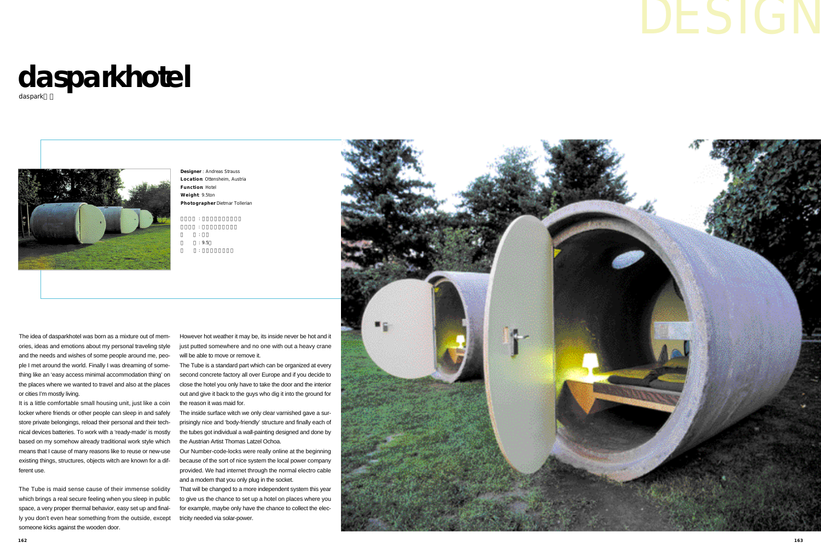# d a spark hotel

daspark



The idea of dasparkhotel was born as a mixture out of memories, ideas and emotions about my personal traveling style and the needs and wishes of some people around me, people I met around the world. Finally I was dreaming of something like an 'easy access minimal accommodation thing' on the places where we wanted to travel and also at the places or cities I'm mostly living.

It is a little comfortable small housing unit, just like a coin locker where friends or other people can sleep in and safely store private belongings, reload their personal and their technical devices batteries. To work with a 'ready-made' is mostly based on my somehow already traditional work style which means that I cause of many reasons like to reuse or new-use existing things, structures, objects witch are known for a different use.

The Tube is maid sense cause of their immense solidity which brings a real secure feeling when you sleep in public space, a very proper thermal behavior, easy set up and finally you don't even hear something from the outside, except someone kicks against the wooden door.

**Designer** : Andreas Strauss Location Ottensheim, Austria **Function Hotel Weight** 9.5ton Photographer Dietmar Tollerian

However hot weather it may be, its inside never be hot and it just putted somewhere and no one with out a heavy crane will be able to move or remove it.

The Tube is a standard part which can be organized at every second concrete factory all over Europe and if you decide to close the hotel you only have to take the door and the interior out and give it back to the guys who dig it into the ground for the reason it was maid for.

The inside surface witch we only clear varnished gave a surprisingly nice and 'body-friendly' structure and finally each of the tubes got individual a wall-painting designed and done by the Austrian Artist Thomas Latzel Ochoa.

Our Number-code-locks were really online at the beginning because of the sort of nice system the local power company provided. We had internet through the normal electro cable and a modem that you only plug in the socket.

That will be changed to a more independent system this year to give us the chance to set up a hotel on places where you for example, maybe only have the chance to collect the electricity needed via solar-power.



| ٠      |       |
|--------|-------|
| ٠      |       |
| ٠      |       |
| ٠      |       |
| ٠      |       |
| ٠      |       |
|        | : 9.5 |
| ٠<br>٠ |       |